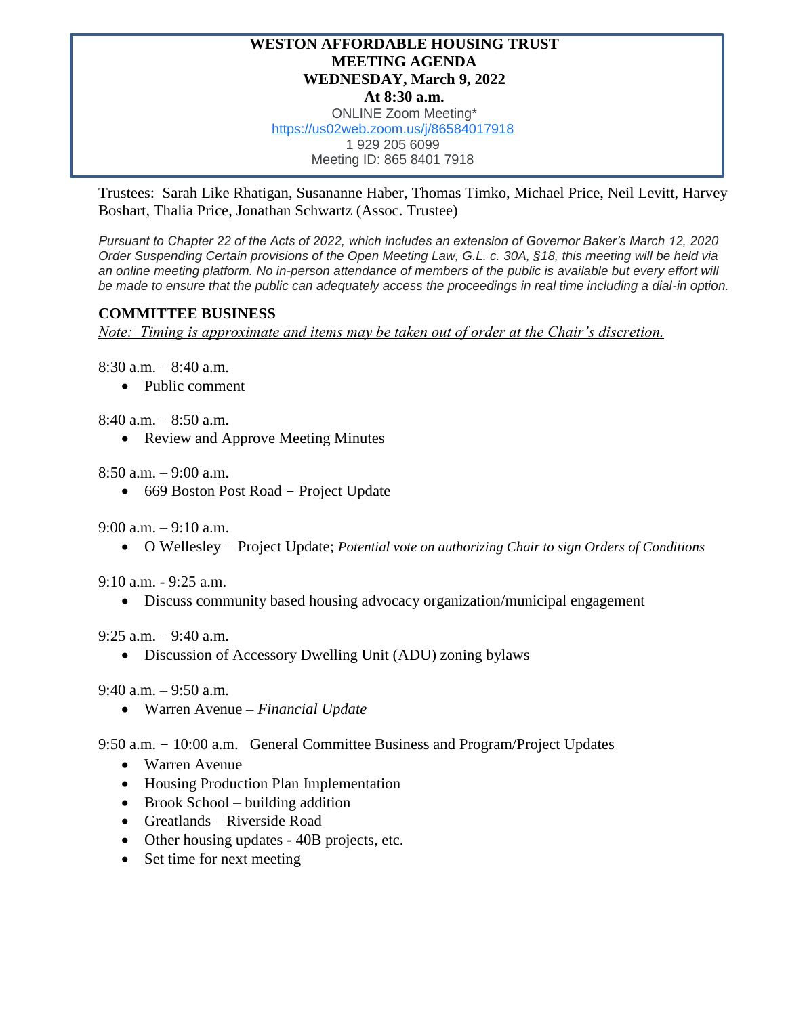## **WESTON AFFORDABLE HOUSING TRUST MEETING AGENDA WEDNESDAY, March 9, 2022 At 8:30 a.m.** ONLINE Zoom Meeting\*

[https://us02web.zoom.us/j/86584017918](https://www.google.com/url?q=https://us02web.zoom.us/j/86584017918&sa=D&source=calendar&ust=1646592332667783&usg=AOvVaw2b0CS-jYOHoWZ329uxaM_1) 1 929 205 6099

Meeting ID: 865 8401 7918

Trustees: Sarah Like Rhatigan, Susananne Haber, Thomas Timko, Michael Price, Neil Levitt, Harvey Boshart, Thalia Price, Jonathan Schwartz (Assoc. Trustee)

*Pursuant to Chapter 22 of the Acts of 2022, which includes an extension of Governor Baker's March 12, 2020 Order Suspending Certain provisions of the Open Meeting Law, G.L. c. 30A, §18, this meeting will be held via*  an online meeting platform. No in-person attendance of members of the public is available but every effort will *be made to ensure that the public can adequately access the proceedings in real time including a dial-in option.*

## **COMMITTEE BUSINESS**

*Note: Timing is approximate and items may be taken out of order at the Chair's discretion.*

8:30 a.m. – 8:40 a.m.

• Public comment

8:40 a.m. – 8:50 a.m.

• Review and Approve Meeting Minutes

 $8:50$  a.m.  $-9:00$  a.m.

• 669 Boston Post Road – Project Update

9:00 a.m. – 9:10 a.m.

• O Wellesley – Project Update; *Potential vote on authorizing Chair to sign Orders of Conditions*

9:10 a.m. - 9:25 a.m.

• Discuss community based housing advocacy organization/municipal engagement

9:25 a.m.  $-9:40$  a.m.

• Discussion of Accessory Dwelling Unit (ADU) zoning bylaws

9:40 a.m. – 9:50 a.m.

• Warren Avenue – *Financial Update*

9:50 a.m. – 10:00 a.m. General Committee Business and Program/Project Updates

- Warren Avenue
- Housing Production Plan Implementation
- Brook School building addition
- Greatlands Riverside Road
- Other housing updates 40B projects, etc.
- Set time for next meeting